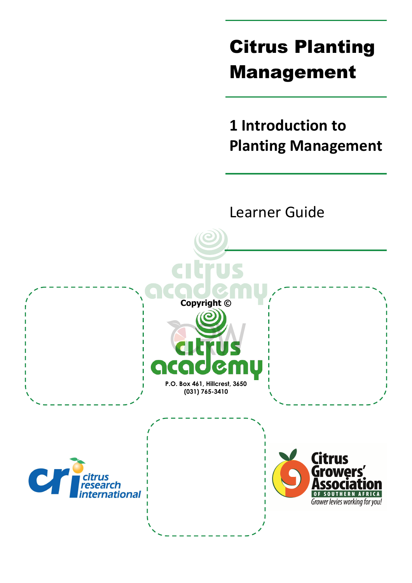# Citrus Planting Management

**1 Introduction to Planting Management**

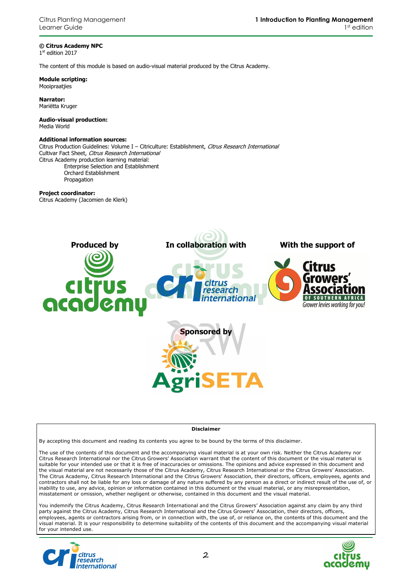### **© Citrus Academy NPC**

1 st edition 2017

The content of this module is based on audio-visual material produced by the Citrus Academy.

**Module scripting:**  Mooipraatjies

**Narrator:**  Mariëtta Kruger

**Audio-visual production:**  Media World

#### **Additional information sources:**

Citrus Production Guidelines: Volume I - Citriculture: Establishment, Citrus Research International Cultivar Fact Sheet, Citrus Research International Citrus Academy production learning material: Enterprise Selection and Establishment Orchard Establishment

Propagation

### **Project coordinator:**

Citrus Academy (Jacomien de Klerk)



#### **Disclaimer**

By accepting this document and reading its contents you agree to be bound by the terms of this disclaimer.

The use of the contents of this document and the accompanying visual material is at your own risk. Neither the Citrus Academy nor Citrus Research International nor the Citrus Growers' Association warrant that the content of this document or the visual material is suitable for your intended use or that it is free of inaccuracies or omissions. The opinions and advice expressed in this document and the visual material are not necessarily those of the Citrus Academy, Citrus Research International or the Citrus Growers' Association. The Citrus Academy, Citrus Research International and the Citrus Growers' Association, their directors, officers, employees, agents and contractors shall not be liable for any loss or damage of any nature suffered by any person as a direct or indirect result of the use of, or inability to use, any advice, opinion or information contained in this document or the visual material, or any misrepresentation, misstatement or omission, whether negligent or otherwise, contained in this document and the visual material.

You indemnify the Citrus Academy, Citrus Research International and the Citrus Growers' Association against any claim by any third party against the Citrus Academy, Citrus Research International and the Citrus Growers' Association, their directors, officers, employees, agents or contractors arising from, or in connection with, the use of, or reliance on, the contents of this document and the visual material. It is your responsibility to determine suitability of the contents of this document and the accompanying visual material for your intended use.



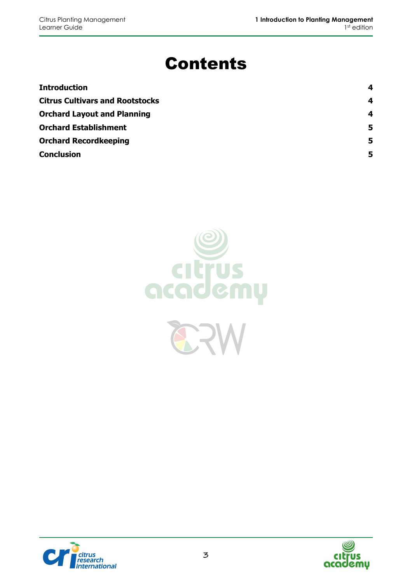# Contents

| <b>Introduction</b>                    | 4  |
|----------------------------------------|----|
| <b>Citrus Cultivars and Rootstocks</b> | 4  |
| <b>Orchard Layout and Planning</b>     | 4  |
| <b>Orchard Establishment</b>           | -5 |
| <b>Orchard Recordkeeping</b>           | 5  |
| <b>Conclusion</b>                      | 5  |





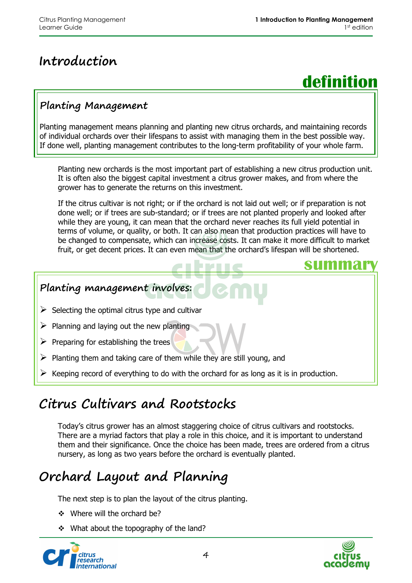# **Introduction**



**summary**

## **Planting Management**

Planting management means planning and planting new citrus orchards, and maintaining records of individual orchards over their lifespans to assist with managing them in the best possible way. If done well, planting management contributes to the long-term profitability of your whole farm.

Planting new orchards is the most important part of establishing a new citrus production unit. It is often also the biggest capital investment a citrus grower makes, and from where the grower has to generate the returns on this investment.

If the citrus cultivar is not right; or if the orchard is not laid out well; or if preparation is not done well; or if trees are sub-standard; or if trees are not planted properly and looked after while they are young, it can mean that the orchard never reaches its full yield potential in terms of volume, or quality, or both. It can also mean that production practices will have to be changed to compensate, which can increase costs. It can make it more difficult to market fruit, or get decent prices. It can even mean that the orchard's lifespan will be shortened.

## **Planting management involves:**

- $\triangleright$  Selecting the optimal citrus type and cultivar
- $\triangleright$  Planning and laying out the new planting
- $\triangleright$  Preparing for establishing the trees
- $\triangleright$  Planting them and taking care of them while they are still young, and
- Keeping record of everything to do with the orchard for as long as it is in production.

# **Citrus Cultivars and Rootstocks**

Today's citrus grower has an almost staggering choice of citrus cultivars and rootstocks. There are a myriad factors that play a role in this choice, and it is important to understand them and their significance. Once the choice has been made, trees are ordered from a citrus nursery, as long as two years before the orchard is eventually planted.

# **Orchard Layout and Planning**

The next step is to plan the layout of the citrus planting.

- ◆ Where will the orchard be?
- \* What about the topography of the land?